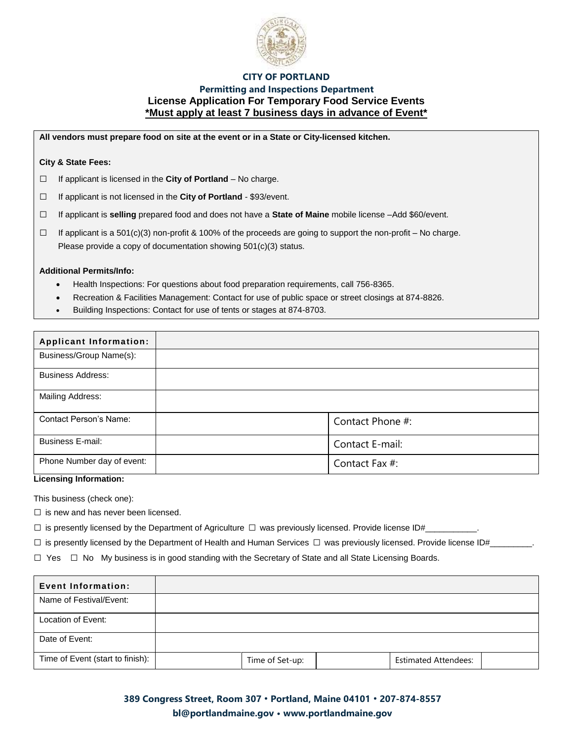

## **CITY OF PORTLAND**

## **Permitting and Inspections Department License Application For Temporary Food Service Events \*Must apply at least 7 business days in advance of Event\***

**All vendors must prepare food on site at the event or in a State or City-licensed kitchen.** 

#### **City & State Fees:**

*□* If applicant is licensed in the **City of Portland** – No charge.

*□* If applicant is not licensed in the **City of Portland** - \$93/event.

*□* If applicant is **selling** prepared food and does not have a **State of Maine** mobile license –Add \$60/event.

*□* If applicant is a 501(c)(3) non-profit & 100% of the proceeds are going to support the non-profit – No charge. Please provide a copy of documentation showing 501(c)(3) status.

#### **Additional Permits/Info:**

- Health Inspections: For questions about food preparation requirements, call 756-8365.
- Recreation & Facilities Management: Contact for use of public space or street closings at 874-8826.
- Building Inspections: Contact for use of tents or stages at 874-8703.

| <b>Applicant Information:</b> |                  |
|-------------------------------|------------------|
| Business/Group Name(s):       |                  |
| <b>Business Address:</b>      |                  |
| Mailing Address:              |                  |
| <b>Contact Person's Name:</b> | Contact Phone #: |
| <b>Business E-mail:</b>       | Contact E-mail:  |
| Phone Number day of event:    | Contact Fax #:   |

**Licensing Information:** 

This business (check one):

 $\square$  is new and has never been licensed.

 $\square$  is presently licensed by the Department of Agriculture  $\square$  was previously licensed. Provide license ID#

 $\square$  is presently licensed by the Department of Health and Human Services  $\square$  was previously licensed. Provide license ID#

 $\Box$  Yes  $\Box$  No My business is in good standing with the Secretary of State and all State Licensing Boards.

| <b>Event Information:</b>        |                 |                             |  |
|----------------------------------|-----------------|-----------------------------|--|
| Name of Festival/Event:          |                 |                             |  |
| Location of Event:               |                 |                             |  |
| Date of Event:                   |                 |                             |  |
| Time of Event (start to finish): | Time of Set-up: | <b>Estimated Attendees:</b> |  |

**389 Congress Street, Room 307 • Portland, Maine 04101 • 207-874-8557 bl@portlandmaine.gov • [www.portlandmaine.gov](http://www.portlandmaine.gov/)**